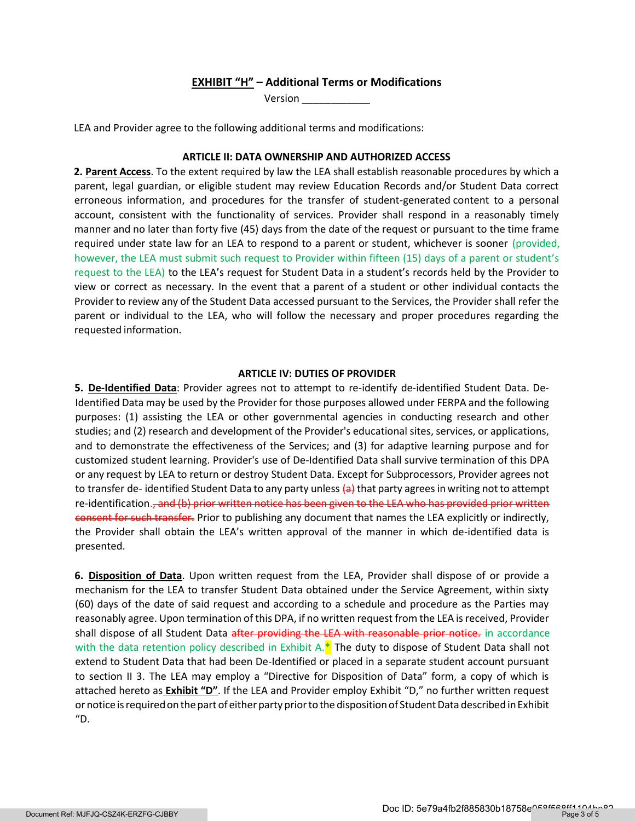# EXHIBIT "H" – Additional Terms or Modifications

Version \_\_\_\_\_\_\_\_\_\_\_\_

LEA and Provider agree to the following additional terms and modifications:

### ARTICLE II: DATA OWNERSHIP AND AUTHORIZED ACCESS

2. Parent Access. To the extent required by law the LEA shall establish reasonable procedures by which a parent, legal guardian, or eligible student may review Education Records and/or Student Data correct erroneous information, and procedures for the transfer of student-generated content to a personal account, consistent with the functionality of services. Provider shall respond in a reasonably timely manner and no later than forty five (45) days from the date of the request or pursuant to the time frame required under state law for an LEA to respond to a parent or student, whichever is sooner (provided, however, the LEA must submit such request to Provider within fifteen (15) days of a parent or student's request to the LEA) to the LEA's request for Student Data in a student's records held by the Provider to view or correct as necessary. In the event that a parent of a student or other individual contacts the Provider to review any of the Student Data accessed pursuant to the Services, the Provider shall refer the parent or individual to the LEA, who will follow the necessary and proper procedures regarding the requested information.

#### ARTICLE IV: DUTIES OF PROVIDER

5. De-Identified Data: Provider agrees not to attempt to re-identify de-identified Student Data. De-Identified Data may be used by the Provider for those purposes allowed under FERPA and the following purposes: (1) assisting the LEA or other governmental agencies in conducting research and other studies; and (2) research and development of the Provider's educational sites, services, or applications, and to demonstrate the effectiveness of the Services; and (3) for adaptive learning purpose and for customized student learning. Provider's use of De-Identified Data shall survive termination of this DPA or any request by LEA to return or destroy Student Data. Except for Subprocessors, Provider agrees not to transfer de-identified Student Data to any party unless (a) that party agrees in writing not to attempt re-identification.<del>, and (b) prior written notice has been given to the LEA who has provided prior written</del> consent for such transfer. Prior to publishing any document that names the LEA explicitly or indirectly, the Provider shall obtain the LEA's written approval of the manner in which de-identified data is presented.

6. Disposition of Data. Upon written request from the LEA, Provider shall dispose of or provide a mechanism for the LEA to transfer Student Data obtained under the Service Agreement, within sixty (60) days of the date of said request and according to a schedule and procedure as the Parties may reasonably agree. Upon termination of this DPA, if no written request from the LEA is received, Provider shall dispose of all Student Data after providing the LEA with reasonable prior notice. in accordance with the data retention policy described in Exhibit A. $*$  The duty to dispose of Student Data shall not extend to Student Data that had been De-Identified or placed in a separate student account pursuant to section II 3. The LEA may employ a "Directive for Disposition of Data" form, a copy of which is attached hereto as Exhibit "D". If the LEA and Provider employ Exhibit "D," no further written request or notice is required on the part of either party prior to the disposition of Student Data described in Exhibit "D.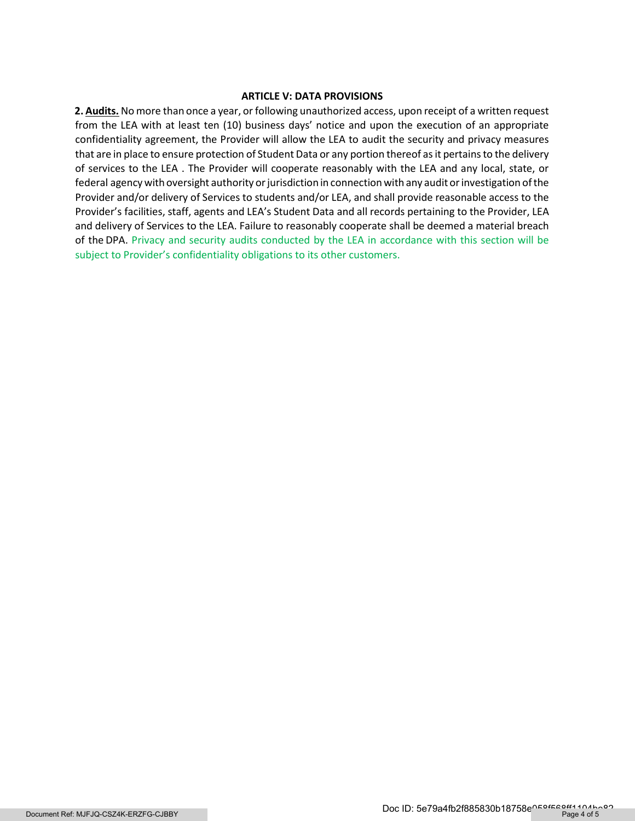## ARTICLE V: DATA PROVISIONS

2. Audits. No more than once a year, or following unauthorized access, upon receipt of a written request from the LEA with at least ten (10) business days' notice and upon the execution of an appropriate confidentiality agreement, the Provider will allow the LEA to audit the security and privacy measures that are in place to ensure protection of Student Data or any portion thereof as it pertains to the delivery of services to the LEA . The Provider will cooperate reasonably with the LEA and any local, state, or federal agency with oversight authority or jurisdiction in connection with any audit or investigation of the Provider and/or delivery of Services to students and/or LEA, and shall provide reasonable access to the Provider's facilities, staff, agents and LEA's Student Data and all records pertaining to the Provider, LEA and delivery of Services to the LEA. Failure to reasonably cooperate shall be deemed a material breach of the DPA. Privacy and security audits conducted by the LEA in accordance with this section will be subject to Provider's confidentiality obligations to its other customers.